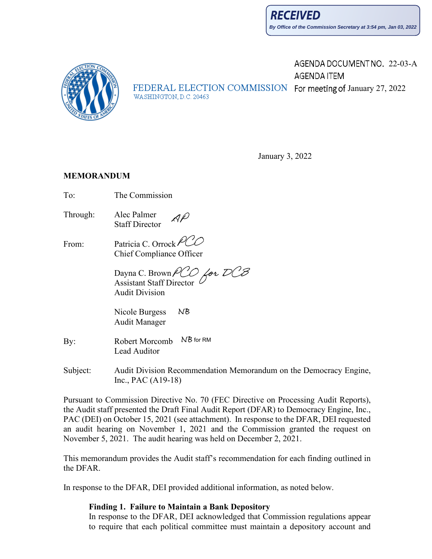AGENDA DOCUMENT NO. 22-03-A



AGENDA ITEM FEDERAL ELECTION COMMISSION For meeting of January 27, 2022 WASHINGTON, D.C. 20463

January 3, 2022

#### **MEMORANDUM**

- To: The Commission
- Through: Alec Palmer Staff Director
- From: Patricia C. Orrock/ Chief Compliance Officer

for DCB Dayna C. Brown Assistant Staff Director <sup>L</sup> Audit Division

ΝB Nicole Burgess Audit Manager

- By: Robert Morcomb NB for RM Lead Auditor
- Subject: Audit Division Recommendation Memorandum on the Democracy Engine, Inc., PAC (A19-18)

Pursuant to Commission Directive No. 70 (FEC Directive on Processing Audit Reports), the Audit staff presented the Draft Final Audit Report (DFAR) to Democracy Engine, Inc., PAC (DEI) on October 15, 2021 (see attachment). In response to the DFAR, DEI requested an audit hearing on November 1, 2021 and the Commission granted the request on November 5, 2021. The audit hearing was held on December 2, 2021.

This memorandum provides the Audit staff's recommendation for each finding outlined in the DFAR.

In response to the DFAR, DEI provided additional information, as noted below.

#### **Finding 1. Failure to Maintain a Bank Depository**

In response to the DFAR, DEI acknowledged that Commission regulations appear to require that each political committee must maintain a depository account and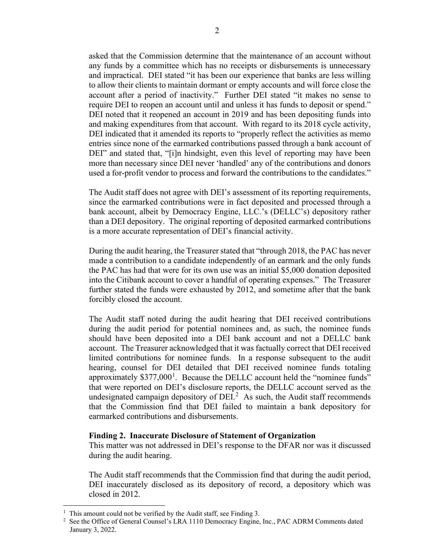asked that the Commission determine that the maintenance of an account without any funds by a committee which has no receipts or disbursements is unnecessary and impractical. DEI stated "it has been our experience that banks are less willing to allow their clients to maintain dormant or empty accounts and will force close the account after a period of inactivity." Further DEI stated "it makes no sense to require DEI to reopen an account until and unless it has funds to deposit or spend." DEI noted that it reopened an account in 2019 and has been depositing funds into and making expenditures from that account. With regard to its 2018 cycle activity, DEI indicated that it amended its reports to "properly reflect the activities as memo entries since none of the earmarked contributions passed through a bank account of DEI" and stated that, "[i]n hindsight, even this level of reporting may have been more than necessary since DEI never 'handled' any of the contributions and donors used a for-profit vendor to process and forward the contributions to the candidates."

The Audit staff does not agree with DEI's assessment of its reporting requirements, since the earmarked contributions were in fact deposited and processed through a bank account, albeit by Democracy Engine, LLC.'s (DELLC's) depository rather than a DEI depository. The original reporting of deposited earmarked contributions is a more accurate representation of DEI's financial activity.

During the audit hearing, the Treasurer stated that "through 2018, the PAC has never made a contribution to a candidate independently of an earmark and the only funds the PAC has had that were for its own use was an initial \$5,000 donation deposited into the Citibank account to cover a handful of operating expenses." The Treasurer further stated the funds were exhausted by 2012, and sometime after that the bank forcibly closed the account.

The Audit staff noted during the audit hearing that DEI received contributions during the audit period for potential nominees and, as such, the nominee funds should have been deposited into a DEI bank account and not a DELLC bank account. The Treasurer acknowledged that it was factually correct that DEI received limited contributions for nominee funds. In a response subsequent to the audit hearing, counsel for DEI detailed that DEI received nominee funds totaling approximately  $$377,000<sup>1</sup>$  $$377,000<sup>1</sup>$  $$377,000<sup>1</sup>$ . Because the DELLC account held the "nominee funds" that were reported on DEI's disclosure reports, the DELLC account served as the undesignated campaign depository of  $DEI<sup>2</sup>$  $DEI<sup>2</sup>$  $DEI<sup>2</sup>$  As such, the Audit staff recommends that the Commission find that DEI failed to maintain a bank depository for earmarked contributions and disbursements.

#### **Finding 2. Inaccurate Disclosure of Statement of Organization**

This matter was not addressed in DEI's response to the DFAR nor was it discussed during the audit hearing.

The Audit staff recommends that the Commission find that during the audit period, DEI inaccurately disclosed as its depository of record, a depository which was closed in 2012.

<span id="page-1-0"></span><sup>&</sup>lt;sup>1</sup> This amount could not be verified by the Audit staff, see Finding 3.

<span id="page-1-1"></span><sup>&</sup>lt;sup>2</sup> See the Office of General Counsel's LRA 1110 Democracy Engine, Inc., PAC ADRM Comments dated January 3, 2022.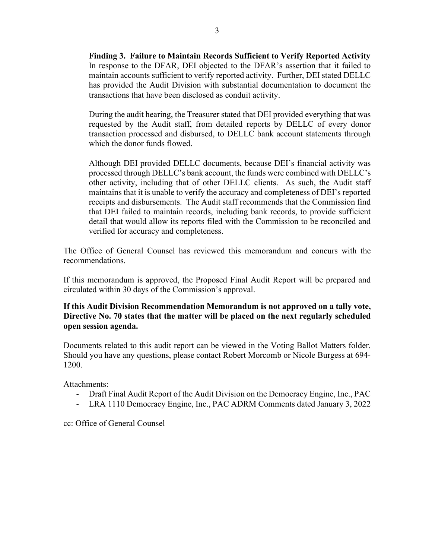**Finding 3. Failure to Maintain Records Sufficient to Verify Reported Activity** In response to the DFAR, DEI objected to the DFAR's assertion that it failed to maintain accounts sufficient to verify reported activity. Further, DEI stated DELLC has provided the Audit Division with substantial documentation to document the transactions that have been disclosed as conduit activity.

During the audit hearing, the Treasurer stated that DEI provided everything that was requested by the Audit staff, from detailed reports by DELLC of every donor transaction processed and disbursed, to DELLC bank account statements through which the donor funds flowed.

Although DEI provided DELLC documents, because DEI's financial activity was processed through DELLC's bank account, the funds were combined with DELLC's other activity, including that of other DELLC clients. As such, the Audit staff maintains that it is unable to verify the accuracy and completeness of DEI's reported receipts and disbursements. The Audit staff recommends that the Commission find that DEI failed to maintain records, including bank records, to provide sufficient detail that would allow its reports filed with the Commission to be reconciled and verified for accuracy and completeness.

The Office of General Counsel has reviewed this memorandum and concurs with the recommendations.

If this memorandum is approved, the Proposed Final Audit Report will be prepared and circulated within 30 days of the Commission's approval.

**If this Audit Division Recommendation Memorandum is not approved on a tally vote, Directive No. 70 states that the matter will be placed on the next regularly scheduled open session agenda.**

Documents related to this audit report can be viewed in the Voting Ballot Matters folder. Should you have any questions, please contact Robert Morcomb or Nicole Burgess at 694- 1200.

Attachments:

- Draft Final Audit Report of the Audit Division on the Democracy Engine, Inc., PAC
- LRA 1110 Democracy Engine, Inc., PAC ADRM Comments dated January 3, 2022

cc: Office of General Counsel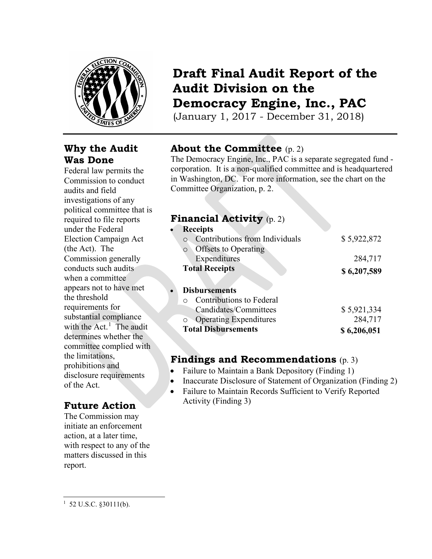

## **Why the Audit Was Done**

Federal law permits the Commission to conduct audits and field investigations of any political committee that is required to file reports under the Federal Election Campaign Act (the Act). The Commission generally conducts such audits when a committee appears not to have met the threshold requirements for substantial compliance with the  $Act.$ <sup>[1](#page-3-0)</sup> The audit determines whether the committee complied with the limitations, prohibitions and disclosure requirements of the Act.

# **Future Action**

The Commission may initiate an enforcement action, at a later time, with respect to any of the matters discussed in this report.

# **Draft Final Audit Report of the Audit Division on the Democracy Engine, Inc., PAC**

(January 1, 2017 - December 31, 2018)

# **About the Committee** (p. 2)

The Democracy Engine, Inc., PAC is a separate segregated fund corporation. It is a non-qualified committee and is headquartered in Washington, DC. For more information, see the chart on the Committee Organization, p. 2.

### **Financial Activity** (p. 2)

| <b>Receipts</b>                          |             |
|------------------------------------------|-------------|
| Contributions from Individuals           | \$5,922,872 |
| <b>Offsets to Operating</b><br>$\circ$   |             |
| Expenditures                             | 284,717     |
| <b>Total Receipts</b>                    | \$6,207,589 |
|                                          |             |
| <b>Disbursements</b><br>$\bullet$        |             |
| <b>Contributions to Federal</b>          |             |
| Candidates/Committees                    | \$5,921,334 |
| <b>Operating Expenditures</b><br>$\circ$ | 284,717     |
| <b>Total Disbursements</b>               | \$6,206,051 |

## **Findings and Recommendations** (p. 3)

- Failure to Maintain a Bank Depository (Finding 1)
- Inaccurate Disclosure of Statement of Organization (Finding 2)
- Failure to Maintain Records Sufficient to Verify Reported Activity (Finding 3)

<span id="page-3-0"></span> $1\,$  52 U.S.C. §30111(b).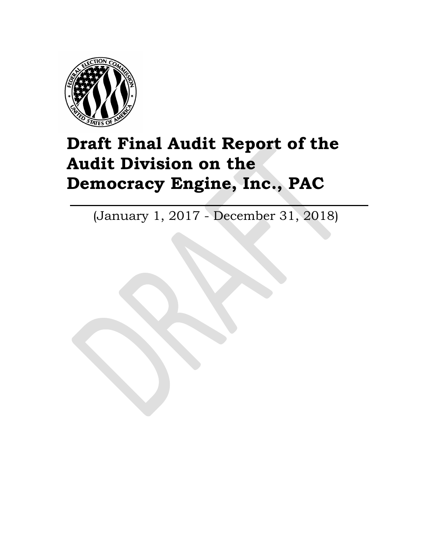

# **Draft Final Audit Report of the Audit Division on the Democracy Engine, Inc., PAC**

(January 1, 2017 - December 31, 2018)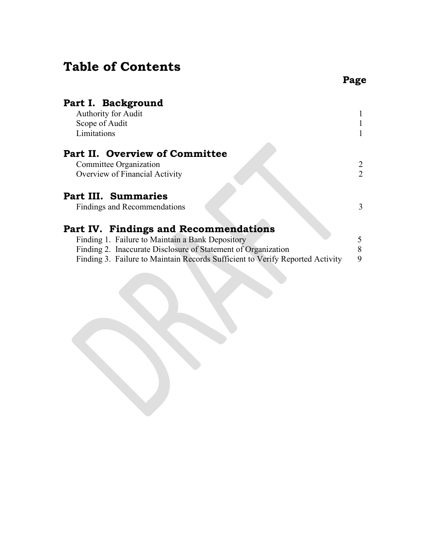# **Table of Contents**

| Part I. Background<br><b>Authority for Audit</b>                              |   |
|-------------------------------------------------------------------------------|---|
| Scope of Audit                                                                |   |
| Limitations                                                                   |   |
| Part II. Overview of Committee                                                |   |
| Committee Organization                                                        | 2 |
| Overview of Financial Activity                                                | 2 |
| Part III. Summaries                                                           |   |
| Findings and Recommendations                                                  | 3 |
| Part IV. Findings and Recommendations                                         |   |
| Finding 1. Failure to Maintain a Bank Depository                              | 5 |
| Finding 2. Inaccurate Disclosure of Statement of Organization                 | 8 |
| Finding 3. Failure to Maintain Records Sufficient to Verify Reported Activity | 9 |
|                                                                               |   |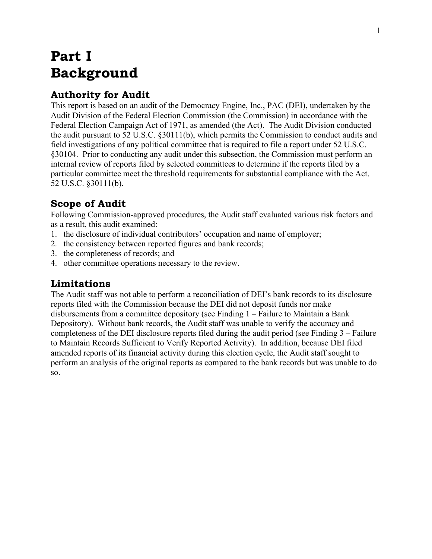# **Part I Background**

## **Authority for Audit**

This report is based on an audit of the Democracy Engine, Inc., PAC (DEI), undertaken by the Audit Division of the Federal Election Commission (the Commission) in accordance with the Federal Election Campaign Act of 1971, as amended (the Act). The Audit Division conducted the audit pursuant to 52 U.S.C. §30111(b), which permits the Commission to conduct audits and field investigations of any political committee that is required to file a report under 52 U.S.C. §30104. Prior to conducting any audit under this subsection, the Commission must perform an internal review of reports filed by selected committees to determine if the reports filed by a particular committee meet the threshold requirements for substantial compliance with the Act. 52 U.S.C. §30111(b).

# **Scope of Audit**

Following Commission-approved procedures, the Audit staff evaluated various risk factors and as a result, this audit examined:

- 1. the disclosure of individual contributors' occupation and name of employer;
- 2. the consistency between reported figures and bank records;
- 3. the completeness of records; and
- 4. other committee operations necessary to the review.

# **Limitations**

The Audit staff was not able to perform a reconciliation of DEI's bank records to its disclosure reports filed with the Commission because the DEI did not deposit funds nor make disbursements from a committee depository (see Finding 1 – Failure to Maintain a Bank Depository). Without bank records, the Audit staff was unable to verify the accuracy and completeness of the DEI disclosure reports filed during the audit period (see Finding 3 – Failure to Maintain Records Sufficient to Verify Reported Activity). In addition, because DEI filed amended reports of its financial activity during this election cycle, the Audit staff sought to perform an analysis of the original reports as compared to the bank records but was unable to do so.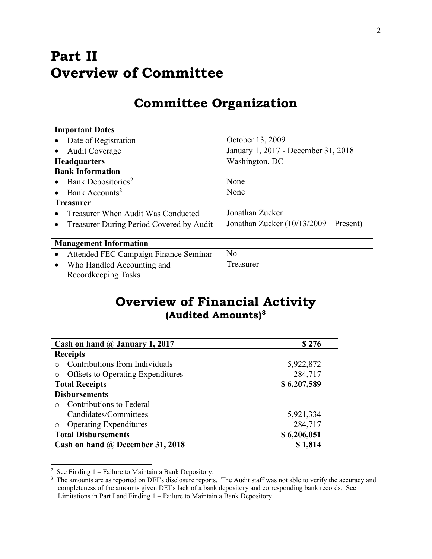# **Part II Overview of Committee**

# **Committee Organization**

| <b>Important Dates</b>                                |                                        |
|-------------------------------------------------------|----------------------------------------|
| Date of Registration                                  | October 13, 2009                       |
| <b>Audit Coverage</b>                                 | January 1, 2017 - December 31, 2018    |
| <b>Headquarters</b>                                   | Washington, DC                         |
| <b>Bank Information</b>                               |                                        |
| Bank Depositories <sup>2</sup><br>$\bullet$           | None                                   |
| Bank Accounts <sup>2</sup>                            | None                                   |
| <b>Treasurer</b>                                      |                                        |
| Treasurer When Audit Was Conducted                    | Jonathan Zucker                        |
| Treasurer During Period Covered by Audit<br>$\bullet$ | Jonathan Zucker (10/13/2009 - Present) |
|                                                       |                                        |
| <b>Management Information</b>                         |                                        |
| Attended FEC Campaign Finance Seminar                 | N <sub>o</sub>                         |
| Who Handled Accounting and<br>$\bullet$               | Treasurer                              |
| Recordkeeping Tasks                                   |                                        |

# **Overview of Financial Activity (Audited Amounts)[3](#page-7-0)**

| Cash on hand $\omega$ January 1, 2017    | \$276       |
|------------------------------------------|-------------|
| <b>Receipts</b>                          |             |
| Contributions from Individuals           | 5,922,872   |
| <b>Offsets to Operating Expenditures</b> | 284,717     |
| <b>Total Receipts</b>                    | \$6,207,589 |
| <b>Disbursements</b>                     |             |
| Contributions to Federal<br>$\bigcap$    |             |
| Candidates/Committees                    | 5,921,334   |
| <b>Operating Expenditures</b>            | 284,717     |
| <b>Total Disbursements</b>               | \$6,206,051 |
| Cash on hand @ December 31, 2018         | \$1,814     |

<span id="page-7-1"></span><sup>&</sup>lt;sup>2</sup> See Finding  $1 -$  Failure to Maintain a Bank Depository.

<span id="page-7-0"></span><sup>&</sup>lt;sup>3</sup> The amounts are as reported on DEI's disclosure reports. The Audit staff was not able to verify the accuracy and completeness of the amounts given DEI's lack of a bank depository and corresponding bank records. See Limitations in Part I and Finding 1 – Failure to Maintain a Bank Depository.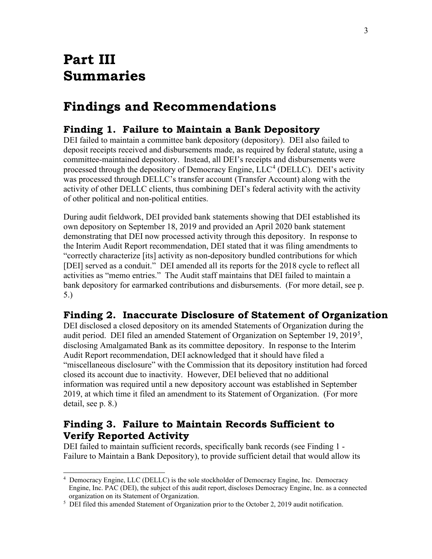# **Part III Summaries**

# **Findings and Recommendations**

### **Finding 1. Failure to Maintain a Bank Depository**

DEI failed to maintain a committee bank depository (depository). DEI also failed to deposit receipts received and disbursements made, as required by federal statute, using a committee-maintained depository. Instead, all DEI's receipts and disbursements were processed through the depository of Democracy Engine,  $LLC<sup>4</sup>$  $LLC<sup>4</sup>$  $LLC<sup>4</sup>$  (DELLC). DEI's activity was processed through DELLC's transfer account (Transfer Account) along with the activity of other DELLC clients, thus combining DEI's federal activity with the activity of other political and non-political entities.

During audit fieldwork, DEI provided bank statements showing that DEI established its own depository on September 18, 2019 and provided an April 2020 bank statement demonstrating that DEI now processed activity through this depository. In response to the Interim Audit Report recommendation, DEI stated that it was filing amendments to "correctly characterize [its] activity as non-depository bundled contributions for which [DEI] served as a conduit." DEI amended all its reports for the 2018 cycle to reflect all activities as "memo entries." The Audit staff maintains that DEI failed to maintain a bank depository for earmarked contributions and disbursements. (For more detail, see p. 5.)

### **Finding 2. Inaccurate Disclosure of Statement of Organization**

DEI disclosed a closed depository on its amended Statements of Organization during the audit period. DEI filed an amended Statement of Organization on September 19, 2019<sup>[5](#page-8-1)</sup>, disclosing Amalgamated Bank as its committee depository. In response to the Interim Audit Report recommendation, DEI acknowledged that it should have filed a "miscellaneous disclosure" with the Commission that its depository institution had forced closed its account due to inactivity. However, DEI believed that no additional information was required until a new depository account was established in September 2019, at which time it filed an amendment to its Statement of Organization. (For more detail, see p. 8.)

## **Finding 3. Failure to Maintain Records Sufficient to Verify Reported Activity**

DEI failed to maintain sufficient records, specifically bank records (see Finding 1 - Failure to Maintain a Bank Depository), to provide sufficient detail that would allow its

<span id="page-8-0"></span><sup>4</sup> Democracy Engine, LLC (DELLC) is the sole stockholder of Democracy Engine, Inc. Democracy Engine, Inc. PAC (DEI), the subject of this audit report, discloses Democracy Engine, Inc. as a connected organization on its Statement of Organization.

<span id="page-8-1"></span><sup>&</sup>lt;sup>5</sup> DEI filed this amended Statement of Organization prior to the October 2, 2019 audit notification.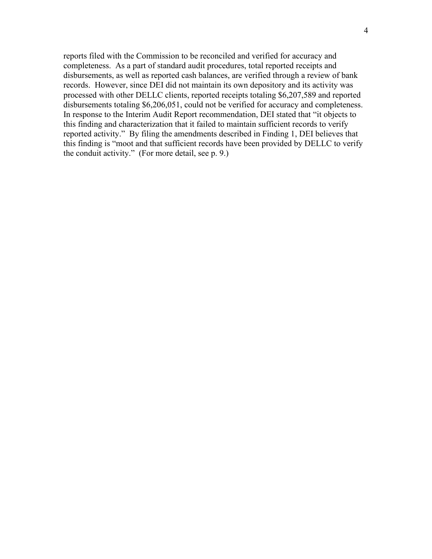reports filed with the Commission to be reconciled and verified for accuracy and completeness. As a part of standard audit procedures, total reported receipts and disbursements, as well as reported cash balances, are verified through a review of bank records. However, since DEI did not maintain its own depository and its activity was processed with other DELLC clients, reported receipts totaling \$6,207,589 and reported disbursements totaling \$6,206,051, could not be verified for accuracy and completeness. In response to the Interim Audit Report recommendation, DEI stated that "it objects to this finding and characterization that it failed to maintain sufficient records to verify reported activity." By filing the amendments described in Finding 1, DEI believes that this finding is "moot and that sufficient records have been provided by DELLC to verify the conduit activity." (For more detail, see p. 9.)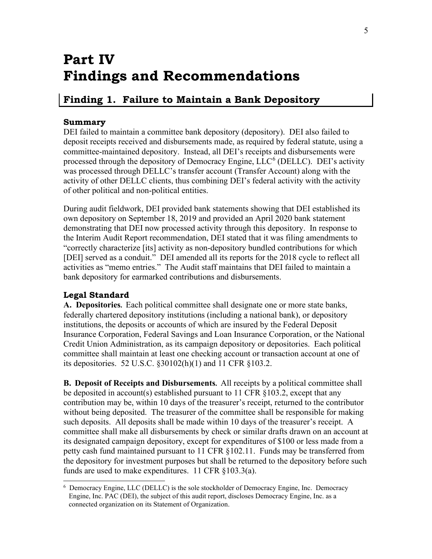# **Part IV Findings and Recommendations**

## <span id="page-10-0"></span>**Finding 1. Failure to Maintain a Bank Depository**

#### **Summary**

DEI failed to maintain a committee bank depository (depository). DEI also failed to deposit receipts received and disbursements made, as required by federal statute, using a committee-maintained depository. Instead, all DEI's receipts and disbursements were processed through the depository of Democracy Engine,  $LLC<sup>6</sup>$  $LLC<sup>6</sup>$  $LLC<sup>6</sup>$  (DELLC). DEI's activity was processed through DELLC's transfer account (Transfer Account) along with the activity of other DELLC clients, thus combining DEI's federal activity with the activity of other political and non-political entities.

During audit fieldwork, DEI provided bank statements showing that DEI established its own depository on September 18, 2019 and provided an April 2020 bank statement demonstrating that DEI now processed activity through this depository. In response to the Interim Audit Report recommendation, DEI stated that it was filing amendments to "correctly characterize [its] activity as non-depository bundled contributions for which [DEI] served as a conduit." DEI amended all its reports for the 2018 cycle to reflect all activities as "memo entries." The Audit staff maintains that DEI failed to maintain a bank depository for earmarked contributions and disbursements.

#### **Legal Standard**

**A. Depositories.** Each political committee shall designate one or more state banks, federally chartered depository institutions (including a national bank), or depository institutions, the deposits or accounts of which are insured by the Federal Deposit Insurance Corporation, Federal Savings and Loan Insurance Corporation, or the National Credit Union Administration, as its campaign depository or depositories. Each political committee shall maintain at least one checking account or transaction account at one of its depositories. 52 U.S.C. §30102(h)(1) and 11 CFR §103.2.

**B. Deposit of Receipts and Disbursements.** All receipts by a political committee shall be deposited in account(s) established pursuant to 11 CFR  $\S 103.2$ , except that any contribution may be, within 10 days of the treasurer's receipt, returned to the contributor without being deposited. The treasurer of the committee shall be responsible for making such deposits. All deposits shall be made within 10 days of the treasurer's receipt. A committee shall make all disbursements by check or similar drafts drawn on an account at its designated campaign depository, except for expenditures of \$100 or less made from a petty cash fund maintained pursuant to 11 CFR §102.11. Funds may be transferred from the depository for investment purposes but shall be returned to the depository before such funds are used to make expenditures. 11 CFR §103.3(a).

<span id="page-10-1"></span><sup>6</sup> Democracy Engine, LLC (DELLC) is the sole stockholder of Democracy Engine, Inc. Democracy Engine, Inc. PAC (DEI), the subject of this audit report, discloses Democracy Engine, Inc. as a connected organization on its Statement of Organization.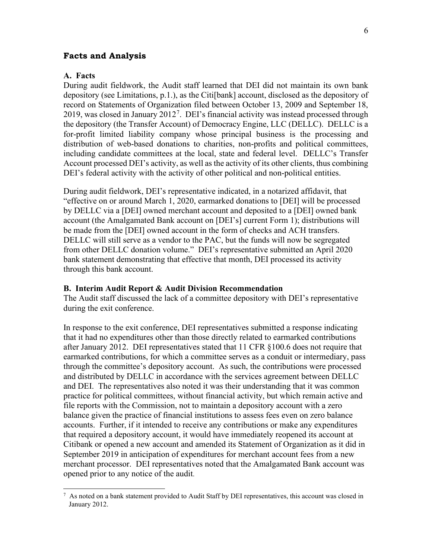#### **Facts and Analysis**

#### **A. Facts**

During audit fieldwork, the Audit staff learned that DEI did not maintain its own bank depository (see Limitations, p.1.), as the Citi[bank] account, disclosed as the depository of record on Statements of Organization filed between October 13, 2009 and September 18, 2019, was closed in January 2012<sup>[7](#page-11-0)</sup>. DEI's financial activity was instead processed through the depository (the Transfer Account) of Democracy Engine, LLC (DELLC). DELLC is a for-profit limited liability company whose principal business is the processing and distribution of web-based donations to charities, non-profits and political committees, including candidate committees at the local, state and federal level. DELLC's Transfer Account processed DEI's activity, as well as the activity of its other clients, thus combining DEI's federal activity with the activity of other political and non-political entities.

During audit fieldwork, DEI's representative indicated, in a notarized affidavit, that "effective on or around March 1, 2020, earmarked donations to [DEI] will be processed by DELLC via a [DEI] owned merchant account and deposited to a [DEI] owned bank account (the Amalgamated Bank account on [DEI's] current Form 1); distributions will be made from the [DEI] owned account in the form of checks and ACH transfers. DELLC will still serve as a vendor to the PAC, but the funds will now be segregated from other DELLC donation volume." DEI's representative submitted an April 2020 bank statement demonstrating that effective that month, DEI processed its activity through this bank account.

#### **B. Interim Audit Report & Audit Division Recommendation**

The Audit staff discussed the lack of a committee depository with DEI's representative during the exit conference.

In response to the exit conference, DEI representatives submitted a response indicating that it had no expenditures other than those directly related to earmarked contributions after January 2012. DEI representatives stated that 11 CFR §100.6 does not require that earmarked contributions, for which a committee serves as a conduit or intermediary, pass through the committee's depository account. As such, the contributions were processed and distributed by DELLC in accordance with the services agreement between DELLC and DEI. The representatives also noted it was their understanding that it was common practice for political committees, without financial activity, but which remain active and file reports with the Commission, not to maintain a depository account with a zero balance given the practice of financial institutions to assess fees even on zero balance accounts. Further, if it intended to receive any contributions or make any expenditures that required a depository account, it would have immediately reopened its account at Citibank or opened a new account and amended its Statement of Organization as it did in September 2019 in anticipation of expenditures for merchant account fees from a new merchant processor. DEI representatives noted that the Amalgamated Bank account was opened prior to any notice of the audit.

<span id="page-11-0"></span> $7$  As noted on a bank statement provided to Audit Staff by DEI representatives, this account was closed in January 2012.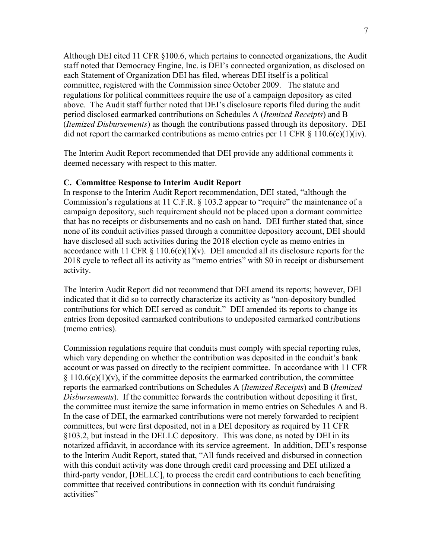Although DEI cited 11 CFR §100.6, which pertains to connected organizations, the Audit staff noted that Democracy Engine, Inc. is DEI's connected organization, as disclosed on each Statement of Organization DEI has filed, whereas DEI itself is a political committee, registered with the Commission since October 2009. The statute and regulations for political committees require the use of a campaign depository as cited above. The Audit staff further noted that DEI's disclosure reports filed during the audit period disclosed earmarked contributions on Schedules A (*Itemized Receipts*) and B (*Itemized Disbursements*) as though the contributions passed through its depository. DEI did not report the earmarked contributions as memo entries per 11 CFR  $\S$  110.6(c)(1)(iv).

The Interim Audit Report recommended that DEI provide any additional comments it deemed necessary with respect to this matter.

#### **C. Committee Response to Interim Audit Report**

In response to the Interim Audit Report recommendation, DEI stated, "although the Commission's regulations at 11 C.F.R. § 103.2 appear to "require" the maintenance of a campaign depository, such requirement should not be placed upon a dormant committee that has no receipts or disbursements and no cash on hand. DEI further stated that, since none of its conduit activities passed through a committee depository account, DEI should have disclosed all such activities during the 2018 election cycle as memo entries in accordance with 11 CFR  $\S$  110.6(c)(1)(v). DEI amended all its disclosure reports for the 2018 cycle to reflect all its activity as "memo entries" with \$0 in receipt or disbursement activity.

The Interim Audit Report did not recommend that DEI amend its reports; however, DEI indicated that it did so to correctly characterize its activity as "non-depository bundled contributions for which DEI served as conduit." DEI amended its reports to change its entries from deposited earmarked contributions to undeposited earmarked contributions (memo entries).

Commission regulations require that conduits must comply with special reporting rules, which vary depending on whether the contribution was deposited in the conduit's bank account or was passed on directly to the recipient committee. In accordance with 11 CFR  $§ 110.6(c)(1)(v)$ , if the committee deposits the earmarked contribution, the committee reports the earmarked contributions on Schedules A (*Itemized Receipts*) and B (*Itemized Disbursements*). If the committee forwards the contribution without depositing it first, the committee must itemize the same information in memo entries on Schedules A and B. In the case of DEI, the earmarked contributions were not merely forwarded to recipient committees, but were first deposited, not in a DEI depository as required by 11 CFR §103.2, but instead in the DELLC depository. This was done, as noted by DEI in its notarized affidavit, in accordance with its service agreement. In addition, DEI's response to the Interim Audit Report, stated that, "All funds received and disbursed in connection with this conduit activity was done through credit card processing and DEI utilized a third-party vendor, [DELLC], to process the credit card contributions to each benefiting committee that received contributions in connection with its conduit fundraising activities"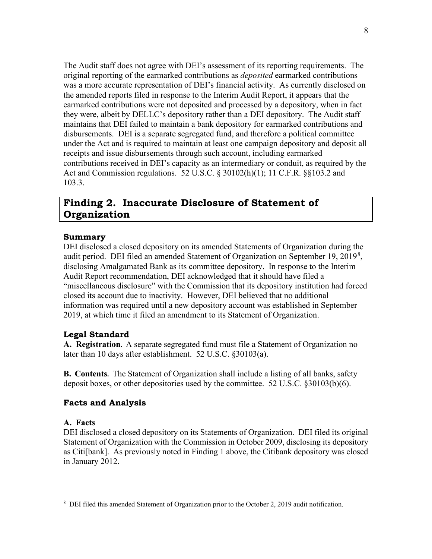The Audit staff does not agree with DEI's assessment of its reporting requirements. The original reporting of the earmarked contributions as *deposited* earmarked contributions was a more accurate representation of DEI's financial activity. As currently disclosed on the amended reports filed in response to the Interim Audit Report, it appears that the earmarked contributions were not deposited and processed by a depository, when in fact they were, albeit by DELLC's depository rather than a DEI depository. The Audit staff maintains that DEI failed to maintain a bank depository for earmarked contributions and disbursements. DEI is a separate segregated fund, and therefore a political committee under the Act and is required to maintain at least one campaign depository and deposit all receipts and issue disbursements through such account, including earmarked contributions received in DEI's capacity as an intermediary or conduit, as required by the Act and Commission regulations. 52 U.S.C. § 30102(h)(1); 11 C.F.R. §§103.2 and 103.3.

## <span id="page-13-0"></span>**Finding 2. Inaccurate Disclosure of Statement of Organization**

#### **Summary**

DEI disclosed a closed depository on its amended Statements of Organization during the audit period. DEI filed an amended Statement of Organization on September 19, 2019<sup>[8](#page-13-1)</sup>, disclosing Amalgamated Bank as its committee depository. In response to the Interim Audit Report recommendation, DEI acknowledged that it should have filed a "miscellaneous disclosure" with the Commission that its depository institution had forced closed its account due to inactivity. However, DEI believed that no additional information was required until a new depository account was established in September 2019, at which time it filed an amendment to its Statement of Organization.

#### **Legal Standard**

**A. Registration.** A separate segregated fund must file a Statement of Organization no later than 10 days after establishment. 52 U.S.C. §30103(a).

**B. Contents.** The Statement of Organization shall include a listing of all banks, safety deposit boxes, or other depositories used by the committee. 52 U.S.C. §30103(b)(6).

#### **Facts and Analysis**

#### **A. Facts**

DEI disclosed a closed depository on its Statements of Organization. DEI filed its original Statement of Organization with the Commission in October 2009, disclosing its depository as Citi[bank]. As previously noted in Finding 1 above, the Citibank depository was closed in January 2012.

<span id="page-13-1"></span><sup>&</sup>lt;sup>8</sup> DEI filed this amended Statement of Organization prior to the October 2, 2019 audit notification.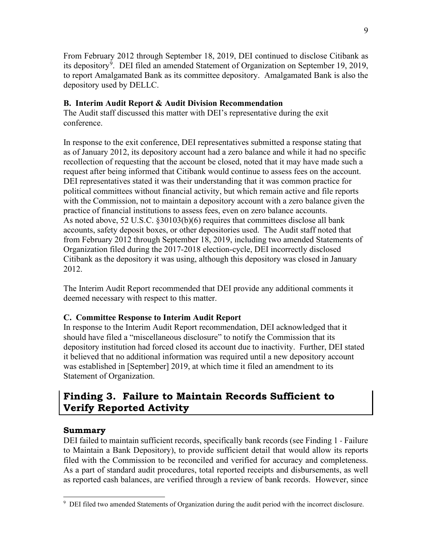From February 2012 through September 18, 2019, DEI continued to disclose Citibank as its depository<sup>[9](#page-14-1)</sup>. DEI filed an amended Statement of Organization on September 19, 2019, to report Amalgamated Bank as its committee depository. Amalgamated Bank is also the depository used by DELLC.

#### **B. Interim Audit Report & Audit Division Recommendation**

The Audit staff discussed this matter with DEI's representative during the exit conference.

In response to the exit conference, DEI representatives submitted a response stating that as of January 2012, its depository account had a zero balance and while it had no specific recollection of requesting that the account be closed, noted that it may have made such a request after being informed that Citibank would continue to assess fees on the account. DEI representatives stated it was their understanding that it was common practice for political committees without financial activity, but which remain active and file reports with the Commission, not to maintain a depository account with a zero balance given the practice of financial institutions to assess fees, even on zero balance accounts. As noted above, 52 U.S.C. §30103(b)(6) requires that committees disclose all bank accounts, safety deposit boxes, or other depositories used. The Audit staff noted that from February 2012 through September 18, 2019, including two amended Statements of Organization filed during the 2017-2018 election-cycle, DEI incorrectly disclosed Citibank as the depository it was using, although this depository was closed in January 2012.

The Interim Audit Report recommended that DEI provide any additional comments it deemed necessary with respect to this matter.

#### **C. Committee Response to Interim Audit Report**

In response to the Interim Audit Report recommendation, DEI acknowledged that it should have filed a "miscellaneous disclosure" to notify the Commission that its depository institution had forced closed its account due to inactivity. Further, DEI stated it believed that no additional information was required until a new depository account was established in [September] 2019, at which time it filed an amendment to its Statement of Organization.

## <span id="page-14-0"></span>**Finding 3. Failure to Maintain Records Sufficient to Verify Reported Activity**

#### **Summary**

DEI failed to maintain sufficient records, specifically bank records (see Finding 1 - Failure to Maintain a Bank Depository), to provide sufficient detail that would allow its reports filed with the Commission to be reconciled and verified for accuracy and completeness. As a part of standard audit procedures, total reported receipts and disbursements, as well as reported cash balances, are verified through a review of bank records. However, since

<span id="page-14-1"></span><sup>&</sup>lt;sup>9</sup> DEI filed two amended Statements of Organization during the audit period with the incorrect disclosure.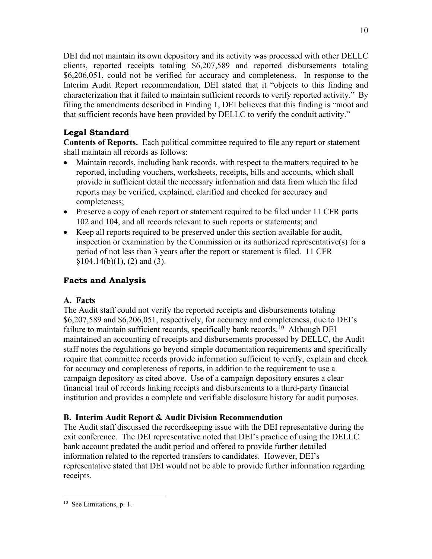DEI did not maintain its own depository and its activity was processed with other DELLC clients, reported receipts totaling \$6,207,589 and reported disbursements totaling \$6,206,051, could not be verified for accuracy and completeness. In response to the Interim Audit Report recommendation, DEI stated that it "objects to this finding and characterization that it failed to maintain sufficient records to verify reported activity." By filing the amendments described in Finding 1, DEI believes that this finding is "moot and that sufficient records have been provided by DELLC to verify the conduit activity."

### **Legal Standard**

**Contents of Reports.** Each political committee required to file any report or statement shall maintain all records as follows:

- Maintain records, including bank records, with respect to the matters required to be reported, including vouchers, worksheets, receipts, bills and accounts, which shall provide in sufficient detail the necessary information and data from which the filed reports may be verified, explained, clarified and checked for accuracy and completeness;
- Preserve a copy of each report or statement required to be filed under 11 CFR parts 102 and 104, and all records relevant to such reports or statements; and
- Keep all reports required to be preserved under this section available for audit, inspection or examination by the Commission or its authorized representative(s) for a period of not less than 3 years after the report or statement is filed. 11 CFR  $§104.14(b)(1), (2)$  and (3).

### **Facts and Analysis**

#### **A. Facts**

The Audit staff could not verify the reported receipts and disbursements totaling \$6,207,589 and \$6,206,051, respectively, for accuracy and completeness, due to DEI's failure to maintain sufficient records, specifically bank records.<sup>10</sup> Although DEI maintained an accounting of receipts and disbursements processed by DELLC, the Audit staff notes the regulations go beyond simple documentation requirements and specifically require that committee records provide information sufficient to verify, explain and check for accuracy and completeness of reports, in addition to the requirement to use a campaign depository as cited above. Use of a campaign depository ensures a clear financial trail of records linking receipts and disbursements to a third-party financial institution and provides a complete and verifiable disclosure history for audit purposes.

### **B. Interim Audit Report & Audit Division Recommendation**

The Audit staff discussed the recordkeeping issue with the DEI representative during the exit conference. The DEI representative noted that DEI's practice of using the DELLC bank account predated the audit period and offered to provide further detailed information related to the reported transfers to candidates. However, DEI's representative stated that DEI would not be able to provide further information regarding receipts.

<span id="page-15-0"></span><sup>&</sup>lt;sup>10</sup> See Limitations, p. 1.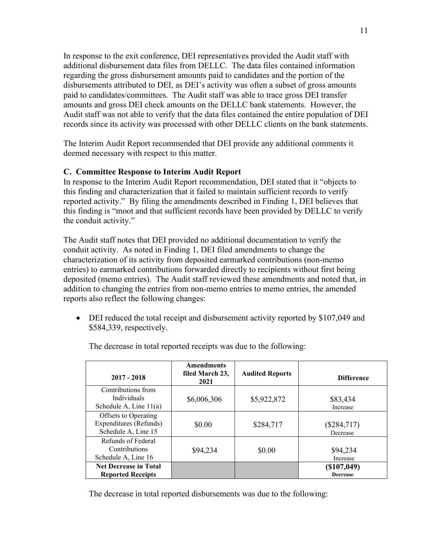In response to the exit conference, DEI representatives provided the Audit staff with additional disbursement data files from DELLC. The data files contained information regarding the gross disbursement amounts paid to candidates and the portion of the disbursements attributed to DEI, as DEI's activity was often a subset of gross amounts paid to candidates/committees. The Audit staff was able to trace gross DEI transfer amounts and gross DEI check amounts on the DELLC bank statements. However, the Audit staff was not able to verify that the data files contained the entire population of DEI records since its activity was processed with other DELLC clients on the bank statements.

The Interim Audit Report recommended that DEI provide any additional comments it deemed necessary with respect to this matter.

#### **C. Committee Response to Interim Audit Report**

In response to the Interim Audit Report recommendation, DEI stated that it "objects to this finding and characterization that it failed to maintain sufficient records to verify reported activity." By filing the amendments described in Finding 1, DEI believes that this finding is "moot and that sufficient records have been provided by DELLC to verify the conduit activity."

The Audit staff notes that DEI provided no additional documentation to verify the conduit activity. As noted in Finding 1, DEI filed amendments to change the characterization of its activity from deposited earmarked contributions (non-memo entries) to earmarked contributions forwarded directly to recipients without first being deposited (memo entries). The Audit staff reviewed these amendments and noted that, in addition to changing the entries from non-memo entries to memo entries, the amended reports also reflect the following changes:

• DEI reduced the total receipt and disbursement activity reported by \$107,049 and \$584,339, respectively.

| $2017 - 2018$                                                         | <b>Amendments</b><br>filed March 23,<br>2021 | <b>Audited Reports</b> | <b>Difference</b>              |
|-----------------------------------------------------------------------|----------------------------------------------|------------------------|--------------------------------|
| Contributions from<br>Individuals<br>Schedule A, Line $11(a)$         | \$6,006,306                                  | \$5,922,872            | \$83,434<br>Increase           |
| Offsets to Operating<br>Expenditures (Refunds)<br>Schedule A, Line 15 | \$0.00                                       | \$284,717              | $(\$284,717)$<br>Decrease      |
| Refunds of Federal<br>Contributions<br>Schedule A, Line 16            | \$94,234                                     | \$0.00                 | \$94,234<br>Increase           |
| <b>Net Decrease in Total</b><br><b>Reported Receipts</b>              |                                              |                        | (\$107,049)<br><b>Decrease</b> |

The decrease in total reported receipts was due to the following:

The decrease in total reported disbursements was due to the following: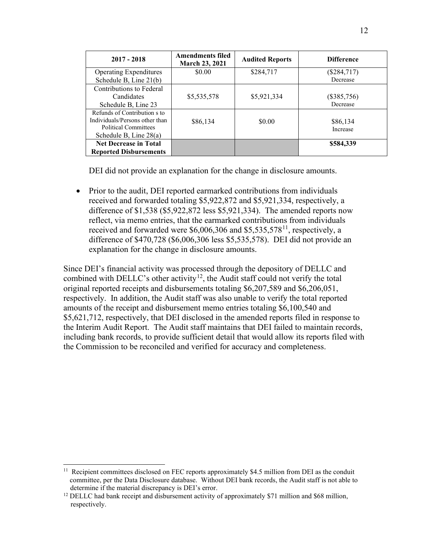| $2017 - 2018$                  | <b>Amendments filed</b><br><b>March 23, 2021</b> | <b>Audited Reports</b> | <b>Difference</b> |
|--------------------------------|--------------------------------------------------|------------------------|-------------------|
| <b>Operating Expenditures</b>  | \$0.00                                           | \$284,717              | $(\$284,717)$     |
| Schedule B, Line 21(b)         |                                                  |                        | Decrease          |
| Contributions to Federal       |                                                  |                        |                   |
| Candidates                     | \$5,535,578                                      | \$5,921,334            | $(\$385,756)$     |
| Schedule B, Line 23            |                                                  |                        | Decrease          |
| Refunds of Contribution s to   |                                                  |                        |                   |
| Individuals/Persons other than | \$86,134                                         | \$0.00                 | \$86,134          |
| <b>Political Committees</b>    |                                                  |                        | Increase          |
| Schedule B, Line $28(a)$       |                                                  |                        |                   |
| <b>Net Decrease in Total</b>   |                                                  |                        | \$584,339         |
| <b>Reported Disbursements</b>  |                                                  |                        |                   |

DEI did not provide an explanation for the change in disclosure amounts.

• Prior to the audit, DEI reported earmarked contributions from individuals received and forwarded totaling \$5,922,872 and \$5,921,334, respectively, a difference of \$1,538 (\$5,922,872 less \$5,921,334). The amended reports now reflect, via memo entries, that the earmarked contributions from individuals received and forwarded were  $$6,006,306$  and  $$5,535,578$ <sup>11</sup>, respectively, a difference of \$470,728 (\$6,006,306 less \$5,535,578). DEI did not provide an explanation for the change in disclosure amounts.

Since DEI's financial activity was processed through the depository of DELLC and combined with DELLC's other activity<sup>[12](#page-17-1)</sup>, the Audit staff could not verify the total original reported receipts and disbursements totaling \$6,207,589 and \$6,206,051, respectively. In addition, the Audit staff was also unable to verify the total reported amounts of the receipt and disbursement memo entries totaling \$6,100,540 and \$5,621,712, respectively, that DEI disclosed in the amended reports filed in response to the Interim Audit Report. The Audit staff maintains that DEI failed to maintain records, including bank records, to provide sufficient detail that would allow its reports filed with the Commission to be reconciled and verified for accuracy and completeness.

<span id="page-17-0"></span><sup>&</sup>lt;sup>11</sup> Recipient committees disclosed on FEC reports approximately \$4.5 million from DEI as the conduit committee, per the Data Disclosure database. Without DEI bank records, the Audit staff is not able to determine if the material discrepancy is DEI's error.<br><sup>12</sup> DELLC had bank receipt and disbursement activity of approximately \$71 million and \$68 million,

<span id="page-17-1"></span>respectively.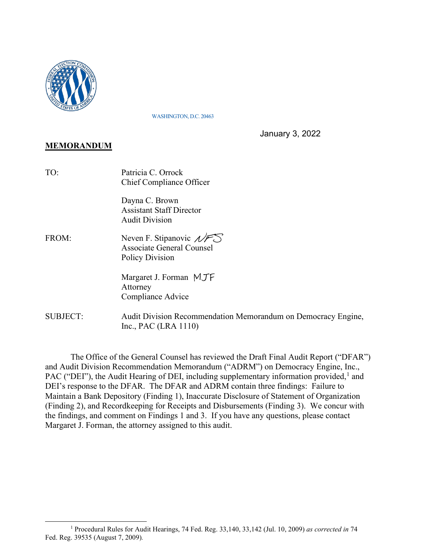

WASHINGTON, D.C. 20463

January 3, 2022

### **MEMORANDUM**

| TO:             | Patricia C. Orrock<br>Chief Compliance Officer                                                                          |
|-----------------|-------------------------------------------------------------------------------------------------------------------------|
|                 | Dayna C. Brown<br><b>Assistant Staff Director</b><br><b>Audit Division</b>                                              |
| FROM:           | Neven F. Stipanovic $\mathscr{N} \mathscr{F} \mathscr{S}$<br><b>Associate General Counsel</b><br><b>Policy Division</b> |
|                 | Margaret J. Forman MJF<br>Attorney<br>Compliance Advice                                                                 |
| <b>SUBJECT:</b> | Audit Division Recommendation Memorandum on Democracy Engine,<br>Inc., PAC (LRA 1110)                                   |

 The Office of the General Counsel has reviewed the Draft Final Audit Report ("DFAR") and Audit Division Recommendation Memorandum ("ADRM") on Democracy Engine, Inc., PAC ("DEI"), the Audit Hearing of DEI, including supplementary information provided,<sup>1</sup> and DEI's response to the DFAR. The DFAR and ADRM contain three findings: Failure to Maintain a Bank Depository (Finding 1), Inaccurate Disclosure of Statement of Organization (Finding 2), and Recordkeeping for Receipts and Disbursements (Finding 3). We concur with the findings, and comment on Findings 1 and 3. If you have any questions, please contact Margaret J. Forman, the attorney assigned to this audit.

<sup>1</sup> Procedural Rules for Audit Hearings, 74 Fed. Reg. 33,140, 33,142 (Jul. 10, 2009) *as corrected in* 74 Fed. Reg. 39535 (August 7, 2009)*.*